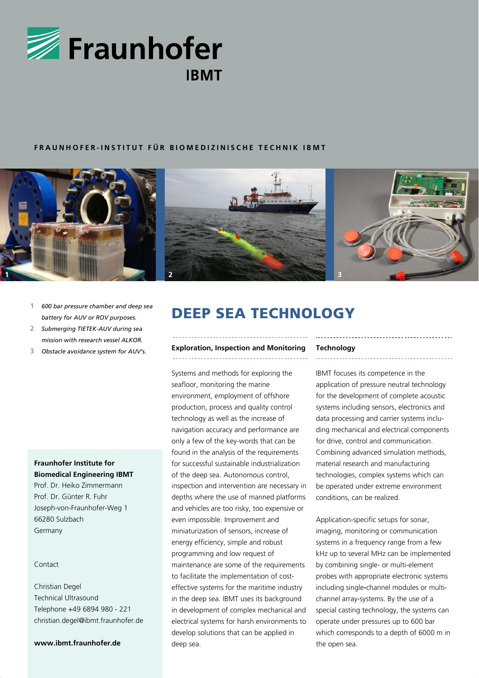

# **FRAUNHOFER-INSTITUT FÜR BIOMEDIZINISCHE TECHNIK IBMT**



- *battery for AUV or ROV purposes.*
- **2** *Submerging TIETEK-AUV during sea mission with research vessel ALKOR.*
- **3** *Obstacle avoidance system for AUV's.*

# **Fraunhofer Institute for Biomedical Engineering IBMT**

Prof. Dr. Heiko Zimmermann Prof. Dr. Günter R. Fuhr Joseph-von-Fraunhofer-Weg 1 66280 Sulzbach Germany

## Contact

Christian Degel Technical Ultrasound Telephone +49 6894 980 - 221 christian.degel@ibmt.fraunhofer.de

## **www.ibmt.fraunhofer.de**

# 1 600 bar pressure chamber and deep sea<br>**DEEP SEA TECHNOLOGY**

#### **Exploration, Inspection and Monitoring**

Systems and methods for exploring the seafloor, monitoring the marine environment, employment of offshore production, process and quality control technology as well as the increase of navigation accuracy and performance are only a few of the key-words that can be found in the analysis of the requirements for successful sustainable industrialization of the deep sea. Autonomous control, inspection and intervention are necessary in depths where the use of manned platforms and vehicles are too risky, too expensive or even impossible. Improvement and miniaturization of sensors, increase of energy efficiency, simple and robust programming and low request of maintenance are some of the requirements to facilitate the implementation of costeffective systems for the maritime industry in the deep sea. IBMT uses its background in development of complex mechanical and electrical systems for harsh environments to develop solutions that can be applied in deep sea.

### **Technology**

IBMT focuses its competence in the application of pressure neutral technology for the development of complete acoustic systems including sensors, electronics and data processing and carrier systems including mechanical and electrical components for drive, control and communication. Combining advanced simulation methods, material research and manufacturing technologies, complex systems which can be operated under extreme environment conditions, can be realized.

Application-specific setups for sonar, imaging, monitoring or communication systems in a frequency range from a few kHz up to several MHz can be implemented by combining single- or multi-element probes with appropriate electronic systems including single**-**channel modules or multichannel array-systems. By the use of a special casting technology, the systems can operate under pressures up to 600 bar which corresponds to a depth of 6000 m in the open sea.